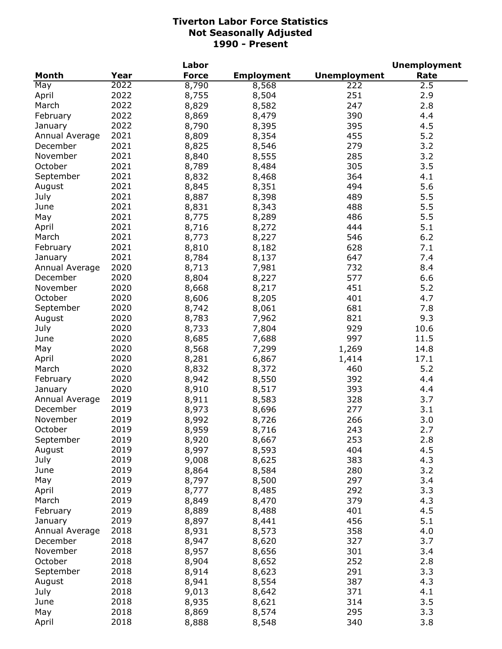|                |      | Labor        |                   |                     | <b>Unemployment</b> |
|----------------|------|--------------|-------------------|---------------------|---------------------|
| <b>Month</b>   | Year | <b>Force</b> | <b>Employment</b> | <b>Unemployment</b> | Rate                |
| May            | 2022 | 8,790        | 8,568             | 222                 | 2.5                 |
| April          | 2022 | 8,755        | 8,504             | 251                 | 2.9                 |
| March          | 2022 | 8,829        | 8,582             | 247                 | 2.8                 |
| February       | 2022 | 8,869        | 8,479             | 390                 | 4.4                 |
| January        | 2022 | 8,790        | 8,395             | 395                 | 4.5                 |
| Annual Average | 2021 | 8,809        | 8,354             | 455                 | 5.2                 |
| December       | 2021 | 8,825        | 8,546             | 279                 | 3.2                 |
| November       | 2021 | 8,840        | 8,555             | 285                 | 3.2                 |
| October        | 2021 | 8,789        | 8,484             | 305                 | 3.5                 |
| September      | 2021 | 8,832        | 8,468             | 364                 | 4.1                 |
| August         | 2021 | 8,845        | 8,351             | 494                 | 5.6                 |
|                | 2021 |              |                   | 489                 |                     |
| July           |      | 8,887        | 8,398             |                     | 5.5                 |
| June           | 2021 | 8,831        | 8,343             | 488                 | 5.5                 |
| May            | 2021 | 8,775        | 8,289             | 486                 | 5.5                 |
| April          | 2021 | 8,716        | 8,272             | 444                 | 5.1                 |
| March          | 2021 | 8,773        | 8,227             | 546                 | 6.2                 |
| February       | 2021 | 8,810        | 8,182             | 628                 | 7.1                 |
| January        | 2021 | 8,784        | 8,137             | 647                 | 7.4                 |
| Annual Average | 2020 | 8,713        | 7,981             | 732                 | 8.4                 |
| December       | 2020 | 8,804        | 8,227             | 577                 | 6.6                 |
| November       | 2020 | 8,668        | 8,217             | 451                 | 5.2                 |
| October        | 2020 | 8,606        | 8,205             | 401                 | 4.7                 |
| September      | 2020 | 8,742        | 8,061             | 681                 | 7.8                 |
| August         | 2020 | 8,783        | 7,962             | 821                 | 9.3                 |
| July           | 2020 | 8,733        | 7,804             | 929                 | 10.6                |
| June           | 2020 | 8,685        | 7,688             | 997                 | 11.5                |
| May            | 2020 | 8,568        | 7,299             | 1,269               | 14.8                |
| April          | 2020 | 8,281        | 6,867             | 1,414               | 17.1                |
| March          | 2020 | 8,832        | 8,372             | 460                 | 5.2                 |
| February       | 2020 | 8,942        | 8,550             | 392                 | 4.4                 |
| January        | 2020 | 8,910        | 8,517             | 393                 | 4.4                 |
| Annual Average | 2019 | 8,911        | 8,583             | 328                 | 3.7                 |
| December       | 2019 | 8,973        | 8,696             | 277                 | 3.1                 |
| November       | 2019 | 8,992        | 8,726             | 266                 | 3.0                 |
| October        | 2019 | 8,959        | 8,716             | 243                 | 2.7                 |
| September      | 2019 | 8,920        | 8,667             | 253                 | 2.8                 |
| August         | 2019 | 8,997        | 8,593             | 404                 | 4.5                 |
| July           | 2019 | 9,008        | 8,625             | 383                 | 4.3                 |
| June           | 2019 | 8,864        | 8,584             | 280                 | 3.2                 |
| May            | 2019 | 8,797        | 8,500             | 297                 | 3.4                 |
| April          | 2019 | 8,777        | 8,485             | 292                 | 3.3                 |
| March          | 2019 |              | 8,470             | 379                 | 4.3                 |
|                |      | 8,849        |                   |                     |                     |
| February       | 2019 | 8,889        | 8,488             | 401                 | 4.5                 |
| January        | 2019 | 8,897        | 8,441             | 456                 | 5.1                 |
| Annual Average | 2018 | 8,931        | 8,573             | 358                 | 4.0                 |
| December       | 2018 | 8,947        | 8,620             | 327                 | 3.7                 |
| November       | 2018 | 8,957        | 8,656             | 301                 | 3.4                 |
| October        | 2018 | 8,904        | 8,652             | 252                 | 2.8                 |
| September      | 2018 | 8,914        | 8,623             | 291                 | 3.3                 |
| August         | 2018 | 8,941        | 8,554             | 387                 | 4.3                 |
| July           | 2018 | 9,013        | 8,642             | 371                 | 4.1                 |
| June           | 2018 | 8,935        | 8,621             | 314                 | 3.5                 |
| May            | 2018 | 8,869        | 8,574             | 295                 | 3.3                 |
| April          | 2018 | 8,888        | 8,548             | 340                 | 3.8                 |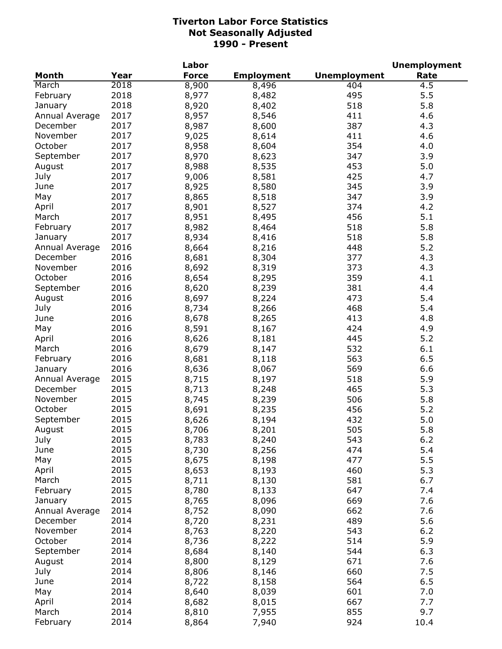| Year<br><b>Force</b><br><b>Unemployment</b><br><b>Employment</b><br>Rate<br>2018<br>8,900<br>404<br>4.5<br>8,496<br>2018<br>495<br>5.5<br>8,977<br>8,482<br>2018<br>5.8<br>8,920<br>518<br>8,402<br>2017<br>8,957<br>411<br>4.6<br>8,546<br>2017<br>387<br>8,987<br>8,600<br>4.3<br>2017<br>411<br>November<br>9,025<br>8,614<br>4.6<br>2017<br>October<br>354<br>8,958<br>8,604<br>4.0<br>2017<br>8,970<br>347<br>3.9<br>September<br>8,623<br>2017<br>8,988<br>453<br>5.0<br>August<br>8,535<br>2017<br>July<br>9,006<br>425<br>4.7<br>8,581<br>8,925<br>3.9<br>June<br>2017<br>8,580<br>345<br>2017<br>8,865<br>May<br>8,518<br>347<br>3.9<br>8,901<br>2017<br>8,527<br>374<br>4.2<br>April<br>8,951<br>8,495<br>456<br>5.1<br>2017<br>March<br>8,982<br>2017<br>8,464<br>518<br>5.8<br>February<br>8,934<br>2017<br>8,416<br>518<br>5.8<br>January<br>5.2<br>2016<br>8,664<br>8,216<br>448<br>Annual Average<br>2016<br>8,681<br>8,304<br>377<br>4.3<br>December<br>2016<br>November<br>8,692<br>8,319<br>373<br>4.3<br>2016<br>October<br>8,654<br>359<br>4.1<br>8,295<br>2016<br>September<br>8,620<br>381<br>4.4<br>8,239<br>2016<br>8,697<br>473<br>August<br>8,224<br>5.4<br>2016<br>468<br>5.4<br>July<br>8,734<br>8,266<br>June<br>2016<br>4.8<br>8,678<br>8,265<br>413<br>2016<br>8,591<br>424<br>4.9<br>May<br>8,167<br>2016<br>8,626<br>445<br>5.2<br>April<br>8,181<br>2016<br>8,679<br>532<br>6.1<br>March<br>8,147<br>2016<br>8,681<br>563<br>6.5<br>February<br>8,118<br>2016<br>8,636<br>569<br>6.6<br>8,067<br>January<br>2015<br>8,715<br>8,197<br>518<br>5.9<br>Annual Average<br>2015<br>8,713<br>8,248<br>465<br>5.3<br>December<br>November<br>2015<br>8,745<br>8,239<br>506<br>5.8<br>October<br>2015<br>8,691<br>456<br>5.2<br>8,235<br>2015<br>September<br>432<br>5.0<br>8,626<br>8,194<br>2015<br>505<br>5.8<br>8,201<br>8,706<br>August<br>2015<br>July<br>8,783<br>8,240<br>543<br>6.2<br>2015<br>474<br>5.4<br>June<br>8,730<br>8,256<br>2015<br>477<br>5.5<br>May<br>8,675<br>8,198<br>2015<br>460<br>5.3<br>8,653<br>April<br>8,193<br>2015<br>6.7<br>March<br>8,711<br>8,130<br>581<br>2015<br>February<br>8,780<br>8,133<br>647<br>7.4<br>2015<br>669<br>7.6<br>8,765<br>8,096<br>January<br>2014<br>662<br>7.6<br>Annual Average<br>8,752<br>8,090<br>2014<br>489<br>5.6<br>December<br>8,720<br>8,231<br>2014<br>8,763<br>543<br>$6.2$<br>November<br>8,220<br>5.9<br>October<br>2014<br>514<br>8,736<br>8,222<br>2014<br>8,684<br>544<br>6.3<br>September<br>8,140<br>2014<br>8,800<br>671<br>7.6<br>August<br>8,129<br>July<br>2014<br>8,806<br>660<br>7.5<br>8,146<br>2014<br>564<br>6.5<br>8,722<br>8,158<br>June<br>2014<br>601<br>7.0<br>May<br>8,640<br>8,039<br>2014<br>667<br>7.7<br>April<br>8,682<br>8,015 |                |      | Labor |       |     | <b>Unemployment</b> |
|--------------------------------------------------------------------------------------------------------------------------------------------------------------------------------------------------------------------------------------------------------------------------------------------------------------------------------------------------------------------------------------------------------------------------------------------------------------------------------------------------------------------------------------------------------------------------------------------------------------------------------------------------------------------------------------------------------------------------------------------------------------------------------------------------------------------------------------------------------------------------------------------------------------------------------------------------------------------------------------------------------------------------------------------------------------------------------------------------------------------------------------------------------------------------------------------------------------------------------------------------------------------------------------------------------------------------------------------------------------------------------------------------------------------------------------------------------------------------------------------------------------------------------------------------------------------------------------------------------------------------------------------------------------------------------------------------------------------------------------------------------------------------------------------------------------------------------------------------------------------------------------------------------------------------------------------------------------------------------------------------------------------------------------------------------------------------------------------------------------------------------------------------------------------------------------------------------------------------------------------------------------------------------------------------------------------------------------------------------------------------------------------------------------------------------------------------------------------------------------------------------------------------------------------------------------------------------------------------------------------------------------------------------------------------------------------------------------------------------------------------------------|----------------|------|-------|-------|-----|---------------------|
|                                                                                                                                                                                                                                                                                                                                                                                                                                                                                                                                                                                                                                                                                                                                                                                                                                                                                                                                                                                                                                                                                                                                                                                                                                                                                                                                                                                                                                                                                                                                                                                                                                                                                                                                                                                                                                                                                                                                                                                                                                                                                                                                                                                                                                                                                                                                                                                                                                                                                                                                                                                                                                                                                                                                                              | <b>Month</b>   |      |       |       |     |                     |
|                                                                                                                                                                                                                                                                                                                                                                                                                                                                                                                                                                                                                                                                                                                                                                                                                                                                                                                                                                                                                                                                                                                                                                                                                                                                                                                                                                                                                                                                                                                                                                                                                                                                                                                                                                                                                                                                                                                                                                                                                                                                                                                                                                                                                                                                                                                                                                                                                                                                                                                                                                                                                                                                                                                                                              | March          |      |       |       |     |                     |
|                                                                                                                                                                                                                                                                                                                                                                                                                                                                                                                                                                                                                                                                                                                                                                                                                                                                                                                                                                                                                                                                                                                                                                                                                                                                                                                                                                                                                                                                                                                                                                                                                                                                                                                                                                                                                                                                                                                                                                                                                                                                                                                                                                                                                                                                                                                                                                                                                                                                                                                                                                                                                                                                                                                                                              | February       |      |       |       |     |                     |
|                                                                                                                                                                                                                                                                                                                                                                                                                                                                                                                                                                                                                                                                                                                                                                                                                                                                                                                                                                                                                                                                                                                                                                                                                                                                                                                                                                                                                                                                                                                                                                                                                                                                                                                                                                                                                                                                                                                                                                                                                                                                                                                                                                                                                                                                                                                                                                                                                                                                                                                                                                                                                                                                                                                                                              | January        |      |       |       |     |                     |
|                                                                                                                                                                                                                                                                                                                                                                                                                                                                                                                                                                                                                                                                                                                                                                                                                                                                                                                                                                                                                                                                                                                                                                                                                                                                                                                                                                                                                                                                                                                                                                                                                                                                                                                                                                                                                                                                                                                                                                                                                                                                                                                                                                                                                                                                                                                                                                                                                                                                                                                                                                                                                                                                                                                                                              | Annual Average |      |       |       |     |                     |
|                                                                                                                                                                                                                                                                                                                                                                                                                                                                                                                                                                                                                                                                                                                                                                                                                                                                                                                                                                                                                                                                                                                                                                                                                                                                                                                                                                                                                                                                                                                                                                                                                                                                                                                                                                                                                                                                                                                                                                                                                                                                                                                                                                                                                                                                                                                                                                                                                                                                                                                                                                                                                                                                                                                                                              | December       |      |       |       |     |                     |
|                                                                                                                                                                                                                                                                                                                                                                                                                                                                                                                                                                                                                                                                                                                                                                                                                                                                                                                                                                                                                                                                                                                                                                                                                                                                                                                                                                                                                                                                                                                                                                                                                                                                                                                                                                                                                                                                                                                                                                                                                                                                                                                                                                                                                                                                                                                                                                                                                                                                                                                                                                                                                                                                                                                                                              |                |      |       |       |     |                     |
|                                                                                                                                                                                                                                                                                                                                                                                                                                                                                                                                                                                                                                                                                                                                                                                                                                                                                                                                                                                                                                                                                                                                                                                                                                                                                                                                                                                                                                                                                                                                                                                                                                                                                                                                                                                                                                                                                                                                                                                                                                                                                                                                                                                                                                                                                                                                                                                                                                                                                                                                                                                                                                                                                                                                                              |                |      |       |       |     |                     |
|                                                                                                                                                                                                                                                                                                                                                                                                                                                                                                                                                                                                                                                                                                                                                                                                                                                                                                                                                                                                                                                                                                                                                                                                                                                                                                                                                                                                                                                                                                                                                                                                                                                                                                                                                                                                                                                                                                                                                                                                                                                                                                                                                                                                                                                                                                                                                                                                                                                                                                                                                                                                                                                                                                                                                              |                |      |       |       |     |                     |
|                                                                                                                                                                                                                                                                                                                                                                                                                                                                                                                                                                                                                                                                                                                                                                                                                                                                                                                                                                                                                                                                                                                                                                                                                                                                                                                                                                                                                                                                                                                                                                                                                                                                                                                                                                                                                                                                                                                                                                                                                                                                                                                                                                                                                                                                                                                                                                                                                                                                                                                                                                                                                                                                                                                                                              |                |      |       |       |     |                     |
|                                                                                                                                                                                                                                                                                                                                                                                                                                                                                                                                                                                                                                                                                                                                                                                                                                                                                                                                                                                                                                                                                                                                                                                                                                                                                                                                                                                                                                                                                                                                                                                                                                                                                                                                                                                                                                                                                                                                                                                                                                                                                                                                                                                                                                                                                                                                                                                                                                                                                                                                                                                                                                                                                                                                                              |                |      |       |       |     |                     |
|                                                                                                                                                                                                                                                                                                                                                                                                                                                                                                                                                                                                                                                                                                                                                                                                                                                                                                                                                                                                                                                                                                                                                                                                                                                                                                                                                                                                                                                                                                                                                                                                                                                                                                                                                                                                                                                                                                                                                                                                                                                                                                                                                                                                                                                                                                                                                                                                                                                                                                                                                                                                                                                                                                                                                              |                |      |       |       |     |                     |
|                                                                                                                                                                                                                                                                                                                                                                                                                                                                                                                                                                                                                                                                                                                                                                                                                                                                                                                                                                                                                                                                                                                                                                                                                                                                                                                                                                                                                                                                                                                                                                                                                                                                                                                                                                                                                                                                                                                                                                                                                                                                                                                                                                                                                                                                                                                                                                                                                                                                                                                                                                                                                                                                                                                                                              |                |      |       |       |     |                     |
|                                                                                                                                                                                                                                                                                                                                                                                                                                                                                                                                                                                                                                                                                                                                                                                                                                                                                                                                                                                                                                                                                                                                                                                                                                                                                                                                                                                                                                                                                                                                                                                                                                                                                                                                                                                                                                                                                                                                                                                                                                                                                                                                                                                                                                                                                                                                                                                                                                                                                                                                                                                                                                                                                                                                                              |                |      |       |       |     |                     |
|                                                                                                                                                                                                                                                                                                                                                                                                                                                                                                                                                                                                                                                                                                                                                                                                                                                                                                                                                                                                                                                                                                                                                                                                                                                                                                                                                                                                                                                                                                                                                                                                                                                                                                                                                                                                                                                                                                                                                                                                                                                                                                                                                                                                                                                                                                                                                                                                                                                                                                                                                                                                                                                                                                                                                              |                |      |       |       |     |                     |
|                                                                                                                                                                                                                                                                                                                                                                                                                                                                                                                                                                                                                                                                                                                                                                                                                                                                                                                                                                                                                                                                                                                                                                                                                                                                                                                                                                                                                                                                                                                                                                                                                                                                                                                                                                                                                                                                                                                                                                                                                                                                                                                                                                                                                                                                                                                                                                                                                                                                                                                                                                                                                                                                                                                                                              |                |      |       |       |     |                     |
|                                                                                                                                                                                                                                                                                                                                                                                                                                                                                                                                                                                                                                                                                                                                                                                                                                                                                                                                                                                                                                                                                                                                                                                                                                                                                                                                                                                                                                                                                                                                                                                                                                                                                                                                                                                                                                                                                                                                                                                                                                                                                                                                                                                                                                                                                                                                                                                                                                                                                                                                                                                                                                                                                                                                                              |                |      |       |       |     |                     |
|                                                                                                                                                                                                                                                                                                                                                                                                                                                                                                                                                                                                                                                                                                                                                                                                                                                                                                                                                                                                                                                                                                                                                                                                                                                                                                                                                                                                                                                                                                                                                                                                                                                                                                                                                                                                                                                                                                                                                                                                                                                                                                                                                                                                                                                                                                                                                                                                                                                                                                                                                                                                                                                                                                                                                              |                |      |       |       |     |                     |
|                                                                                                                                                                                                                                                                                                                                                                                                                                                                                                                                                                                                                                                                                                                                                                                                                                                                                                                                                                                                                                                                                                                                                                                                                                                                                                                                                                                                                                                                                                                                                                                                                                                                                                                                                                                                                                                                                                                                                                                                                                                                                                                                                                                                                                                                                                                                                                                                                                                                                                                                                                                                                                                                                                                                                              |                |      |       |       |     |                     |
|                                                                                                                                                                                                                                                                                                                                                                                                                                                                                                                                                                                                                                                                                                                                                                                                                                                                                                                                                                                                                                                                                                                                                                                                                                                                                                                                                                                                                                                                                                                                                                                                                                                                                                                                                                                                                                                                                                                                                                                                                                                                                                                                                                                                                                                                                                                                                                                                                                                                                                                                                                                                                                                                                                                                                              |                |      |       |       |     |                     |
|                                                                                                                                                                                                                                                                                                                                                                                                                                                                                                                                                                                                                                                                                                                                                                                                                                                                                                                                                                                                                                                                                                                                                                                                                                                                                                                                                                                                                                                                                                                                                                                                                                                                                                                                                                                                                                                                                                                                                                                                                                                                                                                                                                                                                                                                                                                                                                                                                                                                                                                                                                                                                                                                                                                                                              |                |      |       |       |     |                     |
|                                                                                                                                                                                                                                                                                                                                                                                                                                                                                                                                                                                                                                                                                                                                                                                                                                                                                                                                                                                                                                                                                                                                                                                                                                                                                                                                                                                                                                                                                                                                                                                                                                                                                                                                                                                                                                                                                                                                                                                                                                                                                                                                                                                                                                                                                                                                                                                                                                                                                                                                                                                                                                                                                                                                                              |                |      |       |       |     |                     |
|                                                                                                                                                                                                                                                                                                                                                                                                                                                                                                                                                                                                                                                                                                                                                                                                                                                                                                                                                                                                                                                                                                                                                                                                                                                                                                                                                                                                                                                                                                                                                                                                                                                                                                                                                                                                                                                                                                                                                                                                                                                                                                                                                                                                                                                                                                                                                                                                                                                                                                                                                                                                                                                                                                                                                              |                |      |       |       |     |                     |
|                                                                                                                                                                                                                                                                                                                                                                                                                                                                                                                                                                                                                                                                                                                                                                                                                                                                                                                                                                                                                                                                                                                                                                                                                                                                                                                                                                                                                                                                                                                                                                                                                                                                                                                                                                                                                                                                                                                                                                                                                                                                                                                                                                                                                                                                                                                                                                                                                                                                                                                                                                                                                                                                                                                                                              |                |      |       |       |     |                     |
|                                                                                                                                                                                                                                                                                                                                                                                                                                                                                                                                                                                                                                                                                                                                                                                                                                                                                                                                                                                                                                                                                                                                                                                                                                                                                                                                                                                                                                                                                                                                                                                                                                                                                                                                                                                                                                                                                                                                                                                                                                                                                                                                                                                                                                                                                                                                                                                                                                                                                                                                                                                                                                                                                                                                                              |                |      |       |       |     |                     |
|                                                                                                                                                                                                                                                                                                                                                                                                                                                                                                                                                                                                                                                                                                                                                                                                                                                                                                                                                                                                                                                                                                                                                                                                                                                                                                                                                                                                                                                                                                                                                                                                                                                                                                                                                                                                                                                                                                                                                                                                                                                                                                                                                                                                                                                                                                                                                                                                                                                                                                                                                                                                                                                                                                                                                              |                |      |       |       |     |                     |
|                                                                                                                                                                                                                                                                                                                                                                                                                                                                                                                                                                                                                                                                                                                                                                                                                                                                                                                                                                                                                                                                                                                                                                                                                                                                                                                                                                                                                                                                                                                                                                                                                                                                                                                                                                                                                                                                                                                                                                                                                                                                                                                                                                                                                                                                                                                                                                                                                                                                                                                                                                                                                                                                                                                                                              |                |      |       |       |     |                     |
|                                                                                                                                                                                                                                                                                                                                                                                                                                                                                                                                                                                                                                                                                                                                                                                                                                                                                                                                                                                                                                                                                                                                                                                                                                                                                                                                                                                                                                                                                                                                                                                                                                                                                                                                                                                                                                                                                                                                                                                                                                                                                                                                                                                                                                                                                                                                                                                                                                                                                                                                                                                                                                                                                                                                                              |                |      |       |       |     |                     |
|                                                                                                                                                                                                                                                                                                                                                                                                                                                                                                                                                                                                                                                                                                                                                                                                                                                                                                                                                                                                                                                                                                                                                                                                                                                                                                                                                                                                                                                                                                                                                                                                                                                                                                                                                                                                                                                                                                                                                                                                                                                                                                                                                                                                                                                                                                                                                                                                                                                                                                                                                                                                                                                                                                                                                              |                |      |       |       |     |                     |
|                                                                                                                                                                                                                                                                                                                                                                                                                                                                                                                                                                                                                                                                                                                                                                                                                                                                                                                                                                                                                                                                                                                                                                                                                                                                                                                                                                                                                                                                                                                                                                                                                                                                                                                                                                                                                                                                                                                                                                                                                                                                                                                                                                                                                                                                                                                                                                                                                                                                                                                                                                                                                                                                                                                                                              |                |      |       |       |     |                     |
|                                                                                                                                                                                                                                                                                                                                                                                                                                                                                                                                                                                                                                                                                                                                                                                                                                                                                                                                                                                                                                                                                                                                                                                                                                                                                                                                                                                                                                                                                                                                                                                                                                                                                                                                                                                                                                                                                                                                                                                                                                                                                                                                                                                                                                                                                                                                                                                                                                                                                                                                                                                                                                                                                                                                                              |                |      |       |       |     |                     |
|                                                                                                                                                                                                                                                                                                                                                                                                                                                                                                                                                                                                                                                                                                                                                                                                                                                                                                                                                                                                                                                                                                                                                                                                                                                                                                                                                                                                                                                                                                                                                                                                                                                                                                                                                                                                                                                                                                                                                                                                                                                                                                                                                                                                                                                                                                                                                                                                                                                                                                                                                                                                                                                                                                                                                              |                |      |       |       |     |                     |
|                                                                                                                                                                                                                                                                                                                                                                                                                                                                                                                                                                                                                                                                                                                                                                                                                                                                                                                                                                                                                                                                                                                                                                                                                                                                                                                                                                                                                                                                                                                                                                                                                                                                                                                                                                                                                                                                                                                                                                                                                                                                                                                                                                                                                                                                                                                                                                                                                                                                                                                                                                                                                                                                                                                                                              |                |      |       |       |     |                     |
|                                                                                                                                                                                                                                                                                                                                                                                                                                                                                                                                                                                                                                                                                                                                                                                                                                                                                                                                                                                                                                                                                                                                                                                                                                                                                                                                                                                                                                                                                                                                                                                                                                                                                                                                                                                                                                                                                                                                                                                                                                                                                                                                                                                                                                                                                                                                                                                                                                                                                                                                                                                                                                                                                                                                                              |                |      |       |       |     |                     |
|                                                                                                                                                                                                                                                                                                                                                                                                                                                                                                                                                                                                                                                                                                                                                                                                                                                                                                                                                                                                                                                                                                                                                                                                                                                                                                                                                                                                                                                                                                                                                                                                                                                                                                                                                                                                                                                                                                                                                                                                                                                                                                                                                                                                                                                                                                                                                                                                                                                                                                                                                                                                                                                                                                                                                              |                |      |       |       |     |                     |
|                                                                                                                                                                                                                                                                                                                                                                                                                                                                                                                                                                                                                                                                                                                                                                                                                                                                                                                                                                                                                                                                                                                                                                                                                                                                                                                                                                                                                                                                                                                                                                                                                                                                                                                                                                                                                                                                                                                                                                                                                                                                                                                                                                                                                                                                                                                                                                                                                                                                                                                                                                                                                                                                                                                                                              |                |      |       |       |     |                     |
|                                                                                                                                                                                                                                                                                                                                                                                                                                                                                                                                                                                                                                                                                                                                                                                                                                                                                                                                                                                                                                                                                                                                                                                                                                                                                                                                                                                                                                                                                                                                                                                                                                                                                                                                                                                                                                                                                                                                                                                                                                                                                                                                                                                                                                                                                                                                                                                                                                                                                                                                                                                                                                                                                                                                                              |                |      |       |       |     |                     |
|                                                                                                                                                                                                                                                                                                                                                                                                                                                                                                                                                                                                                                                                                                                                                                                                                                                                                                                                                                                                                                                                                                                                                                                                                                                                                                                                                                                                                                                                                                                                                                                                                                                                                                                                                                                                                                                                                                                                                                                                                                                                                                                                                                                                                                                                                                                                                                                                                                                                                                                                                                                                                                                                                                                                                              |                |      |       |       |     |                     |
|                                                                                                                                                                                                                                                                                                                                                                                                                                                                                                                                                                                                                                                                                                                                                                                                                                                                                                                                                                                                                                                                                                                                                                                                                                                                                                                                                                                                                                                                                                                                                                                                                                                                                                                                                                                                                                                                                                                                                                                                                                                                                                                                                                                                                                                                                                                                                                                                                                                                                                                                                                                                                                                                                                                                                              |                |      |       |       |     |                     |
|                                                                                                                                                                                                                                                                                                                                                                                                                                                                                                                                                                                                                                                                                                                                                                                                                                                                                                                                                                                                                                                                                                                                                                                                                                                                                                                                                                                                                                                                                                                                                                                                                                                                                                                                                                                                                                                                                                                                                                                                                                                                                                                                                                                                                                                                                                                                                                                                                                                                                                                                                                                                                                                                                                                                                              |                |      |       |       |     |                     |
|                                                                                                                                                                                                                                                                                                                                                                                                                                                                                                                                                                                                                                                                                                                                                                                                                                                                                                                                                                                                                                                                                                                                                                                                                                                                                                                                                                                                                                                                                                                                                                                                                                                                                                                                                                                                                                                                                                                                                                                                                                                                                                                                                                                                                                                                                                                                                                                                                                                                                                                                                                                                                                                                                                                                                              |                |      |       |       |     |                     |
|                                                                                                                                                                                                                                                                                                                                                                                                                                                                                                                                                                                                                                                                                                                                                                                                                                                                                                                                                                                                                                                                                                                                                                                                                                                                                                                                                                                                                                                                                                                                                                                                                                                                                                                                                                                                                                                                                                                                                                                                                                                                                                                                                                                                                                                                                                                                                                                                                                                                                                                                                                                                                                                                                                                                                              |                |      |       |       |     |                     |
|                                                                                                                                                                                                                                                                                                                                                                                                                                                                                                                                                                                                                                                                                                                                                                                                                                                                                                                                                                                                                                                                                                                                                                                                                                                                                                                                                                                                                                                                                                                                                                                                                                                                                                                                                                                                                                                                                                                                                                                                                                                                                                                                                                                                                                                                                                                                                                                                                                                                                                                                                                                                                                                                                                                                                              |                |      |       |       |     |                     |
|                                                                                                                                                                                                                                                                                                                                                                                                                                                                                                                                                                                                                                                                                                                                                                                                                                                                                                                                                                                                                                                                                                                                                                                                                                                                                                                                                                                                                                                                                                                                                                                                                                                                                                                                                                                                                                                                                                                                                                                                                                                                                                                                                                                                                                                                                                                                                                                                                                                                                                                                                                                                                                                                                                                                                              |                |      |       |       |     |                     |
|                                                                                                                                                                                                                                                                                                                                                                                                                                                                                                                                                                                                                                                                                                                                                                                                                                                                                                                                                                                                                                                                                                                                                                                                                                                                                                                                                                                                                                                                                                                                                                                                                                                                                                                                                                                                                                                                                                                                                                                                                                                                                                                                                                                                                                                                                                                                                                                                                                                                                                                                                                                                                                                                                                                                                              |                |      |       |       |     |                     |
|                                                                                                                                                                                                                                                                                                                                                                                                                                                                                                                                                                                                                                                                                                                                                                                                                                                                                                                                                                                                                                                                                                                                                                                                                                                                                                                                                                                                                                                                                                                                                                                                                                                                                                                                                                                                                                                                                                                                                                                                                                                                                                                                                                                                                                                                                                                                                                                                                                                                                                                                                                                                                                                                                                                                                              |                |      |       |       |     |                     |
|                                                                                                                                                                                                                                                                                                                                                                                                                                                                                                                                                                                                                                                                                                                                                                                                                                                                                                                                                                                                                                                                                                                                                                                                                                                                                                                                                                                                                                                                                                                                                                                                                                                                                                                                                                                                                                                                                                                                                                                                                                                                                                                                                                                                                                                                                                                                                                                                                                                                                                                                                                                                                                                                                                                                                              |                |      |       |       |     |                     |
|                                                                                                                                                                                                                                                                                                                                                                                                                                                                                                                                                                                                                                                                                                                                                                                                                                                                                                                                                                                                                                                                                                                                                                                                                                                                                                                                                                                                                                                                                                                                                                                                                                                                                                                                                                                                                                                                                                                                                                                                                                                                                                                                                                                                                                                                                                                                                                                                                                                                                                                                                                                                                                                                                                                                                              |                |      |       |       |     |                     |
|                                                                                                                                                                                                                                                                                                                                                                                                                                                                                                                                                                                                                                                                                                                                                                                                                                                                                                                                                                                                                                                                                                                                                                                                                                                                                                                                                                                                                                                                                                                                                                                                                                                                                                                                                                                                                                                                                                                                                                                                                                                                                                                                                                                                                                                                                                                                                                                                                                                                                                                                                                                                                                                                                                                                                              |                |      |       |       |     |                     |
|                                                                                                                                                                                                                                                                                                                                                                                                                                                                                                                                                                                                                                                                                                                                                                                                                                                                                                                                                                                                                                                                                                                                                                                                                                                                                                                                                                                                                                                                                                                                                                                                                                                                                                                                                                                                                                                                                                                                                                                                                                                                                                                                                                                                                                                                                                                                                                                                                                                                                                                                                                                                                                                                                                                                                              |                |      |       |       |     |                     |
|                                                                                                                                                                                                                                                                                                                                                                                                                                                                                                                                                                                                                                                                                                                                                                                                                                                                                                                                                                                                                                                                                                                                                                                                                                                                                                                                                                                                                                                                                                                                                                                                                                                                                                                                                                                                                                                                                                                                                                                                                                                                                                                                                                                                                                                                                                                                                                                                                                                                                                                                                                                                                                                                                                                                                              |                |      |       |       |     |                     |
|                                                                                                                                                                                                                                                                                                                                                                                                                                                                                                                                                                                                                                                                                                                                                                                                                                                                                                                                                                                                                                                                                                                                                                                                                                                                                                                                                                                                                                                                                                                                                                                                                                                                                                                                                                                                                                                                                                                                                                                                                                                                                                                                                                                                                                                                                                                                                                                                                                                                                                                                                                                                                                                                                                                                                              |                |      |       |       |     |                     |
|                                                                                                                                                                                                                                                                                                                                                                                                                                                                                                                                                                                                                                                                                                                                                                                                                                                                                                                                                                                                                                                                                                                                                                                                                                                                                                                                                                                                                                                                                                                                                                                                                                                                                                                                                                                                                                                                                                                                                                                                                                                                                                                                                                                                                                                                                                                                                                                                                                                                                                                                                                                                                                                                                                                                                              |                |      |       |       |     |                     |
|                                                                                                                                                                                                                                                                                                                                                                                                                                                                                                                                                                                                                                                                                                                                                                                                                                                                                                                                                                                                                                                                                                                                                                                                                                                                                                                                                                                                                                                                                                                                                                                                                                                                                                                                                                                                                                                                                                                                                                                                                                                                                                                                                                                                                                                                                                                                                                                                                                                                                                                                                                                                                                                                                                                                                              | March          | 2014 | 8,810 | 7,955 | 855 | 9.7                 |
| 2014<br>924<br>8,864<br>7,940<br>10.4                                                                                                                                                                                                                                                                                                                                                                                                                                                                                                                                                                                                                                                                                                                                                                                                                                                                                                                                                                                                                                                                                                                                                                                                                                                                                                                                                                                                                                                                                                                                                                                                                                                                                                                                                                                                                                                                                                                                                                                                                                                                                                                                                                                                                                                                                                                                                                                                                                                                                                                                                                                                                                                                                                                        | February       |      |       |       |     |                     |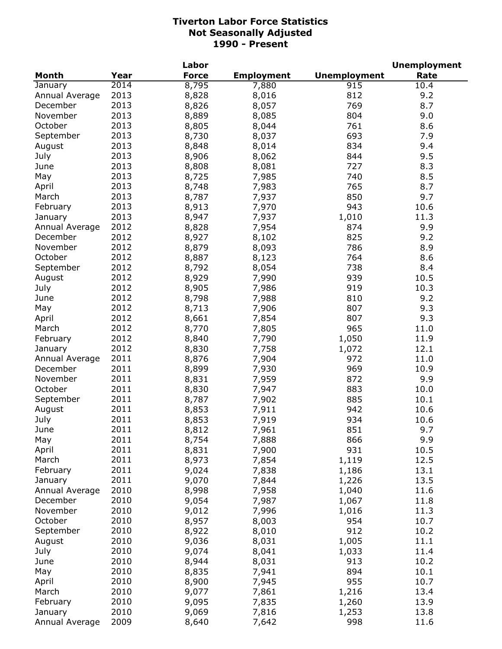|                |      | Labor        |                   |                     | <b>Unemployment</b> |
|----------------|------|--------------|-------------------|---------------------|---------------------|
| <b>Month</b>   | Year | <b>Force</b> | <b>Employment</b> | <b>Unemployment</b> | Rate                |
| January        | 2014 | 8,795        | 7,880             | 915                 | 10.4                |
| Annual Average | 2013 | 8,828        | 8,016             | 812                 | 9.2                 |
| December       | 2013 | 8,826        | 8,057             | 769                 | 8.7                 |
| November       | 2013 | 8,889        | 8,085             | 804                 | 9.0                 |
| October        | 2013 | 8,805        | 8,044             | 761                 | 8.6                 |
| September      | 2013 | 8,730        | 8,037             | 693                 | 7.9                 |
| August         | 2013 | 8,848        | 8,014             | 834                 | 9.4                 |
| July           | 2013 | 8,906        | 8,062             | 844                 | 9.5                 |
| June           | 2013 | 8,808        | 8,081             | 727                 | 8.3                 |
| May            | 2013 | 8,725        | 7,985             | 740                 | 8.5                 |
| April          | 2013 | 8,748        | 7,983             | 765                 | 8.7                 |
| March          | 2013 | 8,787        | 7,937             | 850                 | 9.7                 |
| February       | 2013 | 8,913        | 7,970             | 943                 | 10.6                |
| January        | 2013 | 8,947        | 7,937             | 1,010               | 11.3                |
| Annual Average | 2012 | 8,828        | 7,954             | 874                 | 9.9                 |
| December       | 2012 | 8,927        | 8,102             | 825                 | 9.2                 |
| November       | 2012 | 8,879        | 8,093             | 786                 | 8.9                 |
| October        | 2012 | 8,887        | 8,123             | 764                 | 8.6                 |
| September      | 2012 | 8,792        | 8,054             | 738                 | 8.4                 |
| August         | 2012 | 8,929        | 7,990             | 939                 | 10.5                |
| July           | 2012 | 8,905        | 7,986             | 919                 | 10.3                |
| June           | 2012 | 8,798        | 7,988             | 810                 | 9.2                 |
| May            | 2012 | 8,713        | 7,906             | 807                 | 9.3                 |
| April          | 2012 | 8,661        | 7,854             | 807                 | 9.3                 |
| March          | 2012 | 8,770        | 7,805             | 965                 | 11.0                |
| February       | 2012 | 8,840        | 7,790             | 1,050               | 11.9                |
| January        | 2012 | 8,830        | 7,758             | 1,072               | 12.1                |
| Annual Average | 2011 | 8,876        | 7,904             | 972                 | 11.0                |
| December       | 2011 | 8,899        | 7,930             | 969                 | 10.9                |
| November       | 2011 | 8,831        | 7,959             | 872                 | 9.9                 |
| October        | 2011 | 8,830        | 7,947             | 883                 | 10.0                |
| September      | 2011 | 8,787        | 7,902             | 885                 | 10.1                |
| August         | 2011 | 8,853        | 7,911             | 942                 | 10.6                |
| July           | 2011 | 8,853        | 7,919             | 934                 | 10.6                |
| June           | 2011 | 8,812        | 7,961             | 851                 | 9.7                 |
| May            | 2011 | 8,754        | 7,888             | 866                 | 9.9                 |
| April          | 2011 | 8,831        | 7,900             | 931                 | 10.5                |
| March          | 2011 | 8,973        | 7,854             | 1,119               | 12.5                |
| February       | 2011 | 9,024        | 7,838             | 1,186               | 13.1                |
| January        | 2011 | 9,070        | 7,844             | 1,226               | 13.5                |
| Annual Average | 2010 | 8,998        | 7,958             | 1,040               | 11.6                |
| December       | 2010 | 9,054        | 7,987             | 1,067               | 11.8                |
| November       | 2010 | 9,012        | 7,996             | 1,016               | 11.3                |
| October        | 2010 | 8,957        | 8,003             | 954                 | 10.7                |
| September      | 2010 | 8,922        | 8,010             | 912                 | 10.2                |
| August         | 2010 | 9,036        | 8,031             | 1,005               | 11.1                |
| July           | 2010 | 9,074        | 8,041             | 1,033               | 11.4                |
| June           | 2010 | 8,944        | 8,031             | 913                 | 10.2                |
| May            | 2010 | 8,835        | 7,941             | 894                 | 10.1                |
| April          | 2010 | 8,900        | 7,945             | 955                 | 10.7                |
| March          | 2010 | 9,077        | 7,861             | 1,216               | 13.4                |
| February       | 2010 | 9,095        | 7,835             | 1,260               | 13.9                |
| January        | 2010 | 9,069        | 7,816             | 1,253               | 13.8                |
| Annual Average | 2009 | 8,640        | 7,642             | 998                 | 11.6                |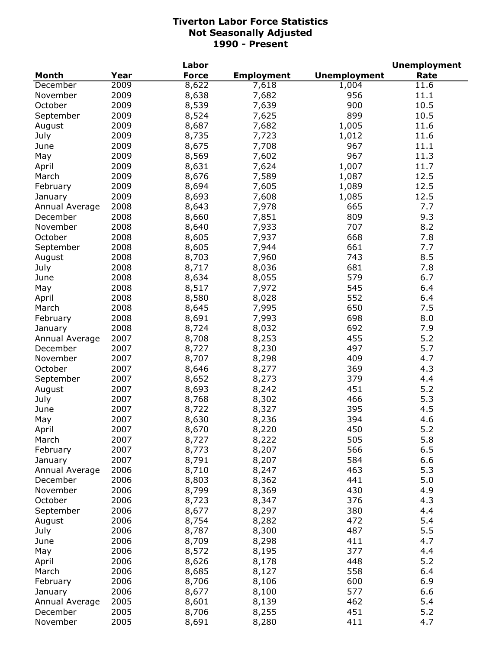|                |      | Labor        |                   |                     | <b>Unemployment</b> |
|----------------|------|--------------|-------------------|---------------------|---------------------|
| <b>Month</b>   | Year | <b>Force</b> | <b>Employment</b> | <b>Unemployment</b> | Rate                |
| December       | 2009 | 8,622        | 7,618             | 1,004               | 11.6                |
| November       | 2009 | 8,638        | 7,682             | 956                 | 11.1                |
| October        | 2009 | 8,539        | 7,639             | 900                 | 10.5                |
| September      | 2009 | 8,524        | 7,625             | 899                 | 10.5                |
| August         | 2009 | 8,687        | 7,682             | 1,005               | 11.6                |
| July           | 2009 | 8,735        | 7,723             | 1,012               | 11.6                |
| June           | 2009 | 8,675        | 7,708             | 967                 | 11.1                |
| May            | 2009 | 8,569        | 7,602             | 967                 | 11.3                |
| April          | 2009 | 8,631        | 7,624             | 1,007               | 11.7                |
| March          | 2009 | 8,676        | 7,589             | 1,087               | 12.5                |
| February       | 2009 | 8,694        | 7,605             | 1,089               | 12.5                |
| January        | 2009 | 8,693        | 7,608             | 1,085               | 12.5                |
| Annual Average | 2008 | 8,643        | 7,978             | 665                 | 7.7                 |
| December       | 2008 | 8,660        | 7,851             | 809                 | 9.3                 |
| November       | 2008 | 8,640        | 7,933             | 707                 | 8.2                 |
| October        | 2008 | 8,605        | 7,937             | 668                 | 7.8                 |
| September      | 2008 | 8,605        | 7,944             | 661                 | 7.7                 |
| August         | 2008 | 8,703        | 7,960             | 743                 | 8.5                 |
| July           | 2008 | 8,717        | 8,036             | 681                 | 7.8                 |
| June           | 2008 | 8,634        | 8,055             | 579                 | 6.7                 |
| May            | 2008 | 8,517        | 7,972             | 545                 | 6.4                 |
| April          | 2008 | 8,580        | 8,028             | 552                 | 6.4                 |
| March          | 2008 | 8,645        | 7,995             | 650                 | 7.5                 |
| February       | 2008 | 8,691        | 7,993             | 698                 | 8.0                 |
| January        | 2008 | 8,724        | 8,032             | 692                 | 7.9                 |
| Annual Average | 2007 | 8,708        | 8,253             | 455                 | 5.2                 |
| December       | 2007 | 8,727        | 8,230             | 497                 | 5.7                 |
| November       | 2007 | 8,707        | 8,298             | 409                 | 4.7                 |
| October        | 2007 | 8,646        | 8,277             | 369                 | 4.3                 |
| September      | 2007 | 8,652        | 8,273             | 379                 | 4.4                 |
| August         | 2007 | 8,693        | 8,242             | 451                 | 5.2                 |
| July           | 2007 | 8,768        | 8,302             | 466                 | 5.3                 |
| June           | 2007 | 8,722        | 8,327             | 395                 | 4.5                 |
| May            | 2007 | 8,630        | 8,236             | 394                 | 4.6                 |
| April          | 2007 | 8,670        | 8,220             | 450                 | $5.2$               |
| March          | 2007 | 8,727        | 8,222             | 505                 | 5.8                 |
| February       | 2007 | 8,773        | 8,207             | 566                 | 6.5                 |
| January        | 2007 | 8,791        | 8,207             | 584                 | 6.6                 |
| Annual Average | 2006 | 8,710        | 8,247             | 463                 | 5.3                 |
| December       | 2006 | 8,803        | 8,362             | 441                 | 5.0                 |
| November       | 2006 | 8,799        | 8,369             | 430                 | 4.9                 |
| October        | 2006 | 8,723        | 8,347             | 376                 | 4.3                 |
| September      | 2006 | 8,677        | 8,297             | 380                 | 4.4                 |
| August         | 2006 | 8,754        | 8,282             | 472                 | 5.4                 |
| July           | 2006 | 8,787        | 8,300             | 487                 | 5.5                 |
| June           | 2006 | 8,709        | 8,298             | 411                 | 4.7                 |
| May            | 2006 | 8,572        | 8,195             | 377                 | 4.4                 |
| April          | 2006 | 8,626        | 8,178             | 448                 | 5.2                 |
| March          | 2006 | 8,685        | 8,127             | 558                 | 6.4                 |
| February       | 2006 | 8,706        | 8,106             | 600                 | 6.9                 |
| January        | 2006 | 8,677        | 8,100             | 577                 | 6.6                 |
| Annual Average | 2005 | 8,601        | 8,139             | 462                 | 5.4                 |
| December       | 2005 | 8,706        | 8,255             | 451                 | 5.2                 |
| November       | 2005 | 8,691        | 8,280             | 411                 | 4.7                 |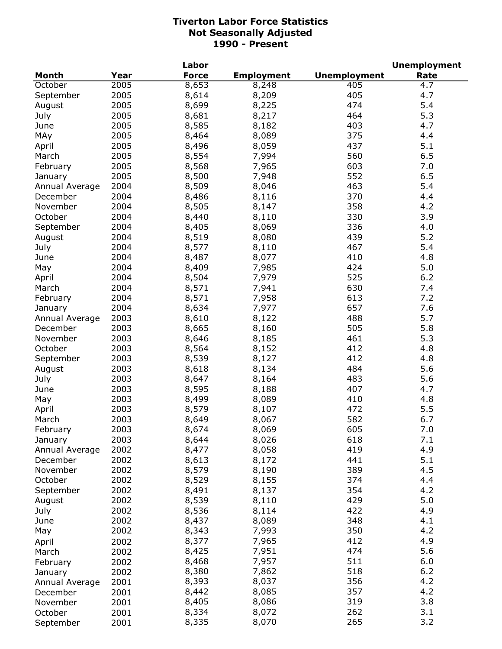|                |      | Labor        |                   |                     | <b>Unemployment</b> |
|----------------|------|--------------|-------------------|---------------------|---------------------|
| <b>Month</b>   | Year | <b>Force</b> | <b>Employment</b> | <b>Unemployment</b> | Rate                |
| October        | 2005 | 8,653        | 8,248             | 405                 | 4.7                 |
| September      | 2005 | 8,614        | 8,209             | 405                 | 4.7                 |
| August         | 2005 | 8,699        | 8,225             | 474                 | 5.4                 |
| July           | 2005 | 8,681        | 8,217             | 464                 | 5.3                 |
| June           | 2005 | 8,585        | 8,182             | 403                 | 4.7                 |
| MAy            | 2005 | 8,464        | 8,089             | 375                 | 4.4                 |
| April          | 2005 | 8,496        | 8,059             | 437                 | 5.1                 |
| March          | 2005 | 8,554        | 7,994             | 560                 | 6.5                 |
| February       | 2005 | 8,568        | 7,965             | 603                 | 7.0                 |
| January        | 2005 | 8,500        | 7,948             | 552                 | 6.5                 |
| Annual Average | 2004 | 8,509        | 8,046             | 463                 | 5.4                 |
| December       | 2004 | 8,486        | 8,116             | 370                 | 4.4                 |
| November       | 2004 | 8,505        | 8,147             | 358                 | 4.2                 |
| October        | 2004 | 8,440        | 8,110             | 330                 | 3.9                 |
| September      | 2004 | 8,405        | 8,069             | 336                 | 4.0                 |
| August         | 2004 | 8,519        | 8,080             | 439                 | 5.2                 |
| July           | 2004 | 8,577        | 8,110             | 467                 | 5.4                 |
| June           | 2004 | 8,487        | 8,077             | 410                 | 4.8                 |
| May            | 2004 | 8,409        | 7,985             | 424                 | 5.0                 |
| April          | 2004 | 8,504        | 7,979             | 525                 | 6.2                 |
| March          | 2004 | 8,571        | 7,941             | 630                 | 7.4                 |
| February       | 2004 | 8,571        | 7,958             | 613                 | 7.2                 |
| January        | 2004 | 8,634        | 7,977             | 657                 | 7.6                 |
| Annual Average | 2003 | 8,610        | 8,122             | 488                 | 5.7                 |
| December       | 2003 | 8,665        | 8,160             | 505                 | 5.8                 |
| November       | 2003 | 8,646        | 8,185             | 461                 | 5.3                 |
| October        | 2003 | 8,564        | 8,152             | 412                 | 4.8                 |
| September      | 2003 | 8,539        | 8,127             | 412                 | 4.8                 |
| August         | 2003 | 8,618        | 8,134             | 484                 | 5.6                 |
| July           | 2003 | 8,647        | 8,164             | 483                 | 5.6                 |
| June           | 2003 | 8,595        | 8,188             | 407                 | 4.7                 |
| May            | 2003 | 8,499        | 8,089             | 410                 | 4.8                 |
| April          | 2003 | 8,579        | 8,107             | 472                 | 5.5                 |
| March          | 2003 | 8,649        | 8,067             | 582                 | 6.7                 |
| February       | 2003 | 8,674        | 8,069             | 605                 | $7.0$               |
| January        | 2003 | 8,644        | 8,026             | 618                 | 7.1                 |
| Annual Average | 2002 | 8,477        | 8,058             | 419                 | 4.9                 |
| December       | 2002 | 8,613        | 8,172             | 441                 | 5.1                 |
| November       | 2002 | 8,579        | 8,190             | 389                 | 4.5                 |
| October        | 2002 | 8,529        | 8,155             | 374                 | 4.4                 |
| September      | 2002 | 8,491        | 8,137             | 354                 | 4.2                 |
| August         | 2002 | 8,539        | 8,110             | 429                 | 5.0                 |
| July           | 2002 | 8,536        | 8,114             | 422                 | 4.9                 |
| June           | 2002 | 8,437        | 8,089             | 348                 | 4.1                 |
| May            | 2002 | 8,343        | 7,993             | 350                 | 4.2                 |
|                | 2002 | 8,377        | 7,965             | 412                 | 4.9                 |
| April          |      | 8,425        | 7,951             | 474                 | 5.6                 |
| March          | 2002 | 8,468        | 7,957             | 511                 | 6.0                 |
| February       | 2002 | 8,380        | 7,862             | 518                 | $6.2$               |
| January        | 2002 | 8,393        | 8,037             | 356                 | 4.2                 |
| Annual Average | 2001 | 8,442        | 8,085             | 357                 | 4.2                 |
| December       | 2001 | 8,405        |                   | 319                 | 3.8                 |
| November       | 2001 | 8,334        | 8,086             | 262                 | 3.1                 |
| October        | 2001 |              | 8,072             | 265                 | 3.2                 |
| September      | 2001 | 8,335        | 8,070             |                     |                     |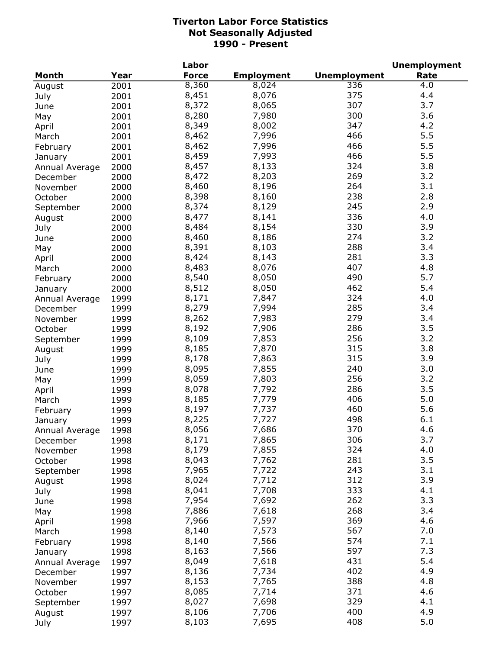|                            |              | Labor        |                   |                     | <b>Unemployment</b> |
|----------------------------|--------------|--------------|-------------------|---------------------|---------------------|
| Month                      | Year         | <b>Force</b> | <b>Employment</b> | <b>Unemployment</b> | Rate                |
| August                     | 2001         | 8,360        | 8,024             | 336                 | 4.0                 |
| July                       | 2001         | 8,451        | 8,076             | 375                 | 4.4                 |
| June                       | 2001         | 8,372        | 8,065             | 307                 | 3.7                 |
| May                        | 2001         | 8,280        | 7,980             | 300                 | 3.6                 |
| April                      | 2001         | 8,349        | 8,002             | 347                 | 4.2                 |
| March                      | 2001         | 8,462        | 7,996             | 466                 | 5.5                 |
| February                   | 2001         | 8,462        | 7,996             | 466                 | 5.5                 |
| January                    | 2001         | 8,459        | 7,993             | 466                 | 5.5                 |
| Annual Average             | 2000         | 8,457        | 8,133             | 324                 | 3.8                 |
| December                   | 2000         | 8,472        | 8,203             | 269                 | 3.2                 |
| November                   | 2000         | 8,460        | 8,196             | 264                 | 3.1                 |
| October                    | 2000         | 8,398        | 8,160             | 238                 | 2.8                 |
| September                  | 2000         | 8,374        | 8,129             | 245                 | 2.9                 |
| August                     | 2000         | 8,477        | 8,141             | 336                 | 4.0                 |
| July                       | 2000         | 8,484        | 8,154             | 330                 | 3.9                 |
| June                       | 2000         | 8,460        | 8,186             | 274                 | 3.2                 |
| May                        | 2000         | 8,391        | 8,103             | 288                 | 3.4                 |
| April                      | 2000         | 8,424        | 8,143             | 281                 | 3.3                 |
| March                      | 2000         | 8,483        | 8,076             | 407                 | 4.8                 |
|                            | 2000         | 8,540        | 8,050             | 490                 | 5.7                 |
| February                   | 2000         | 8,512        | 8,050             | 462                 | 5.4                 |
| January                    | 1999         | 8,171        | 7,847             | 324                 | 4.0                 |
| Annual Average<br>December | 1999         | 8,279        | 7,994             | 285                 | 3.4                 |
| November                   | 1999         | 8,262        | 7,983             | 279                 | 3.4                 |
| October                    | 1999         | 8,192        | 7,906             | 286                 | 3.5                 |
| September                  | 1999         | 8,109        | 7,853             | 256                 | 3.2                 |
| August                     | 1999         | 8,185        | 7,870             | 315                 | 3.8                 |
| July                       | 1999         | 8,178        | 7,863             | 315                 | 3.9                 |
| June                       | 1999         | 8,095        | 7,855             | 240                 | 3.0                 |
| May                        | 1999         | 8,059        | 7,803             | 256                 | 3.2                 |
| April                      | 1999         | 8,078        | 7,792             | 286                 | 3.5                 |
| March                      | 1999         | 8,185        | 7,779             | 406                 | 5.0                 |
|                            | 1999         | 8,197        | 7,737             | 460                 | 5.6                 |
| February                   | 1999         | 8,225        | 7,727             | 498                 | 6.1                 |
| January<br>Annual Average  | 1998         | 8,056        | 7,686             | 370                 | 4.6                 |
| December                   | 1998         | 8,171        | 7,865             | 306                 | 3.7                 |
| November                   | 1998         | 8,179        | 7,855             | 324                 | 4.0                 |
| October                    | 1998         | 8,043        | 7,762             | 281                 | 3.5                 |
| September                  | 1998         | 7,965        | 7,722             | 243                 | 3.1                 |
| August                     | 1998         | 8,024        | 7,712             | 312                 | 3.9                 |
| July                       | 1998         | 8,041        | 7,708             | 333                 | 4.1                 |
|                            | 1998         | 7,954        | 7,692             | 262                 | 3.3                 |
| June                       | 1998         | 7,886        | 7,618             | 268                 | 3.4                 |
| May                        | 1998         | 7,966        | 7,597             | 369                 | 4.6                 |
| April<br>March             | 1998         | 8,140        | 7,573             | 567                 | 7.0                 |
|                            |              | 8,140        | 7,566             | 574                 | 7.1                 |
| February                   | 1998<br>1998 | 8,163        | 7,566             | 597                 | 7.3                 |
| January                    |              | 8,049        | 7,618             | 431                 | 5.4                 |
| Annual Average             | 1997         | 8,136        | 7,734             | 402                 | 4.9                 |
| December                   | 1997         | 8,153        | 7,765             | 388                 | 4.8                 |
| November                   | 1997         | 8,085        | 7,714             | 371                 | 4.6                 |
| October                    | 1997         | 8,027        | 7,698             | 329                 | 4.1                 |
| September                  | 1997<br>1997 | 8,106        | 7,706             | 400                 | 4.9                 |
| August<br>July             | 1997         | 8,103        | 7,695             | 408                 | 5.0                 |
|                            |              |              |                   |                     |                     |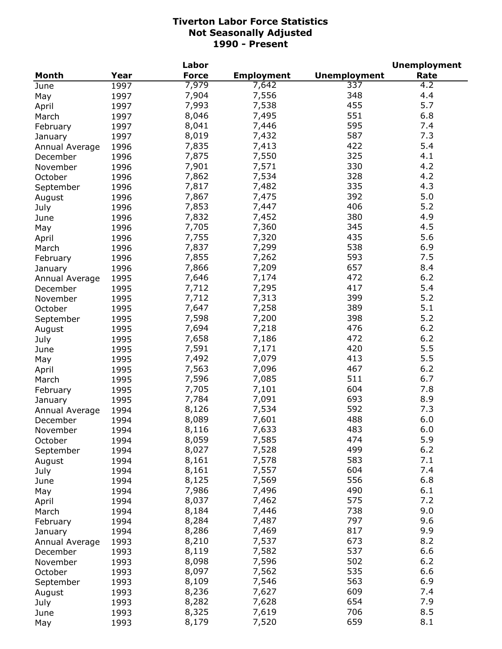|                |      | Labor        |                   |                     | <b>Unemployment</b> |
|----------------|------|--------------|-------------------|---------------------|---------------------|
| <b>Month</b>   | Year | <b>Force</b> | <b>Employment</b> | <b>Unemployment</b> | Rate                |
| June           | 1997 | 7,979        | 7,642             | 337                 | 4.2                 |
| May            | 1997 | 7,904        | 7,556             | 348                 | 4.4                 |
| April          | 1997 | 7,993        | 7,538             | 455                 | 5.7                 |
| March          | 1997 | 8,046        | 7,495             | 551                 | 6.8                 |
| February       | 1997 | 8,041        | 7,446             | 595                 | 7.4                 |
| January        | 1997 | 8,019        | 7,432             | 587                 | 7.3                 |
| Annual Average | 1996 | 7,835        | 7,413             | 422                 | 5.4                 |
| December       | 1996 | 7,875        | 7,550             | 325                 | 4.1                 |
|                |      | 7,901        | 7,571             | 330                 | 4.2                 |
| November       | 1996 | 7,862        | 7,534             | 328                 | 4.2                 |
| October        | 1996 |              |                   |                     |                     |
| September      | 1996 | 7,817        | 7,482             | 335                 | 4.3                 |
| August         | 1996 | 7,867        | 7,475             | 392                 | 5.0                 |
| July           | 1996 | 7,853        | 7,447             | 406                 | 5.2                 |
| June           | 1996 | 7,832        | 7,452             | 380                 | 4.9                 |
| May            | 1996 | 7,705        | 7,360             | 345                 | 4.5                 |
| April          | 1996 | 7,755        | 7,320             | 435                 | 5.6                 |
| March          | 1996 | 7,837        | 7,299             | 538                 | 6.9                 |
| February       | 1996 | 7,855        | 7,262             | 593                 | 7.5                 |
| January        | 1996 | 7,866        | 7,209             | 657                 | 8.4                 |
| Annual Average | 1995 | 7,646        | 7,174             | 472                 | 6.2                 |
| December       | 1995 | 7,712        | 7,295             | 417                 | 5.4                 |
| November       | 1995 | 7,712        | 7,313             | 399                 | 5.2                 |
| October        | 1995 | 7,647        | 7,258             | 389                 | 5.1                 |
| September      | 1995 | 7,598        | 7,200             | 398                 | 5.2                 |
| August         | 1995 | 7,694        | 7,218             | 476                 | 6.2                 |
| July           | 1995 | 7,658        | 7,186             | 472                 | 6.2                 |
| June           | 1995 | 7,591        | 7,171             | 420                 | 5.5                 |
| May            | 1995 | 7,492        | 7,079             | 413                 | 5.5                 |
| April          | 1995 | 7,563        | 7,096             | 467                 | 6.2                 |
| March          | 1995 | 7,596        | 7,085             | 511                 | 6.7                 |
| February       | 1995 | 7,705        | 7,101             | 604                 | 7.8                 |
|                | 1995 | 7,784        | 7,091             | 693                 | 8.9                 |
| January        |      | 8,126        | 7,534             | 592                 | 7.3                 |
| Annual Average | 1994 |              | 7,601             | 488                 | 6.0                 |
| December       | 1994 | 8,089        |                   |                     |                     |
| November       | 1994 | 8,116        | 7,633             | 483                 | 6.0                 |
| October        | 1994 | 8,059        | 7,585             | 474                 | 5.9                 |
| September      | 1994 | 8,027        | 7,528             | 499                 | $6.2$               |
| August         | 1994 | 8,161        | 7,578             | 583                 | 7.1                 |
| July           | 1994 | 8,161        | 7,557             | 604                 | 7.4                 |
| June           | 1994 | 8,125        | 7,569             | 556                 | 6.8                 |
| May            | 1994 | 7,986        | 7,496             | 490                 | 6.1                 |
| April          | 1994 | 8,037        | 7,462             | 575                 | 7.2                 |
| March          | 1994 | 8,184        | 7,446             | 738                 | 9.0                 |
| February       | 1994 | 8,284        | 7,487             | 797                 | 9.6                 |
| January        | 1994 | 8,286        | 7,469             | 817                 | 9.9                 |
| Annual Average | 1993 | 8,210        | 7,537             | 673                 | 8.2                 |
| December       | 1993 | 8,119        | 7,582             | 537                 | 6.6                 |
| November       | 1993 | 8,098        | 7,596             | 502                 | 6.2                 |
| October        | 1993 | 8,097        | 7,562             | 535                 | 6.6                 |
| September      | 1993 | 8,109        | 7,546             | 563                 | 6.9                 |
| August         | 1993 | 8,236        | 7,627             | 609                 | 7.4                 |
| July           | 1993 | 8,282        | 7,628             | 654                 | 7.9                 |
| June           | 1993 | 8,325        | 7,619             | 706                 | 8.5                 |
| May            | 1993 | 8,179        | 7,520             | 659                 | 8.1                 |
|                |      |              |                   |                     |                     |